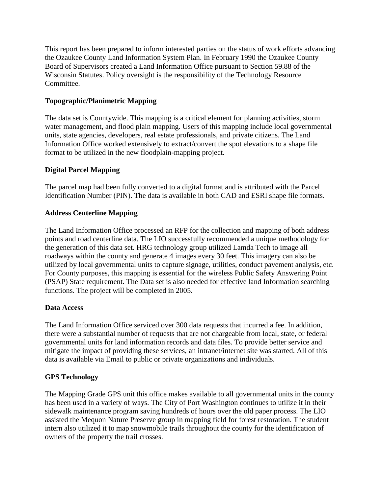This report has been prepared to inform interested parties on the status of work efforts advancing the Ozaukee County Land Information System Plan. In February 1990 the Ozaukee County Board of Supervisors created a Land Information Office pursuant to Section 59.88 of the Wisconsin Statutes. Policy oversight is the responsibility of the Technology Resource Committee.

## **Topographic/Planimetric Mapping**

The data set is Countywide. This mapping is a critical element for planning activities, storm water management, and flood plain mapping. Users of this mapping include local governmental units, state agencies, developers, real estate professionals, and private citizens. The Land Information Office worked extensively to extract/convert the spot elevations to a shape file format to be utilized in the new floodplain-mapping project.

### **Digital Parcel Mapping**

The parcel map had been fully converted to a digital format and is attributed with the Parcel Identification Number (PIN). The data is available in both CAD and ESRI shape file formats.

# **Address Centerline Mapping**

The Land Information Office processed an RFP for the collection and mapping of both address points and road centerline data. The LIO successfully recommended a unique methodology for the generation of this data set. HRG technology group utilized Lamda Tech to image all roadways within the county and generate 4 images every 30 feet. This imagery can also be utilized by local governmental units to capture signage, utilities, conduct pavement analysis, etc. For County purposes, this mapping is essential for the wireless Public Safety Answering Point (PSAP) State requirement. The Data set is also needed for effective land Information searching functions. The project will be completed in 2005.

### **Data Access**

The Land Information Office serviced over 300 data requests that incurred a fee. In addition, there were a substantial number of requests that are not chargeable from local, state, or federal governmental units for land information records and data files. To provide better service and mitigate the impact of providing these services, an intranet/internet site was started. All of this data is available via Email to public or private organizations and individuals.

### **GPS Technology**

The Mapping Grade GPS unit this office makes available to all governmental units in the county has been used in a variety of ways. The City of Port Washington continues to utilize it in their sidewalk maintenance program saving hundreds of hours over the old paper process. The LIO assisted the Mequon Nature Preserve group in mapping field for forest restoration. The student intern also utilized it to map snowmobile trails throughout the county for the identification of owners of the property the trail crosses.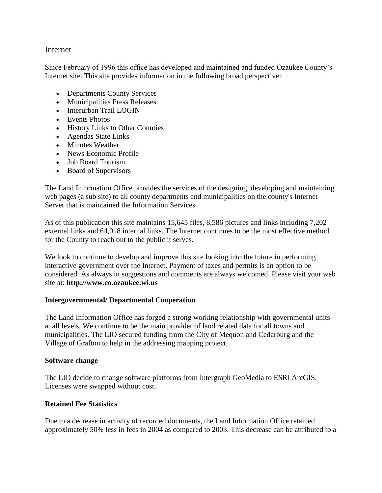## Internet

Since February of 1996 this office has developed and maintained and funded Ozaukee County's Internet site. This site provides information in the following broad perspective:

- Departments County Services
- Municipalities Press Releases
- Interurban Trail LOGIN
- Events Photos
- History Links to Other Counties
- Agendas State Links
- Minutes Weather
- News Economic Profile
- Job Board Tourism
- Board of Supervisors

The Land Information Office provides the services of the designing, developing and maintaining web pages (a sub site) to all county departments and municipalities on the county's Internet Server that is maintained the Information Services.

As of this publication this site maintains 15,645 files, 8,586 pictures and links including 7,202 external links and 64,018 internal links. The Internet continues to be the most effective method for the County to reach out to the public it serves.

We look to continue to develop and improve this site looking into the future in performing interactive government over the Internet. Payment of taxes and permits is an option to be considered. As always in suggestions and comments are always welcomed. Please visit your web site at: **http://www.co.ozaukee.wi.us**

### **Intergovernmental/ Departmental Cooperation**

The Land Information Office has forged a strong working relationship with governmental units at all levels. We continue to be the main provider of land related data for all towns and municipalities. The LIO secured funding from the City of Mequon and Cedarburg and the Village of Grafton to help in the addressing mapping project.

### **Software change**

The LIO decide to change software platforms from Intergraph GeoMedia to ESRI ArcGIS. Licenses were swapped without cost.

### **Retained Fee Statistics**

Due to a decrease in activity of recorded documents, the Land Information Office retained approximately 50% less in fees in 2004 as compared to 2003. This decrease can be attributed to a